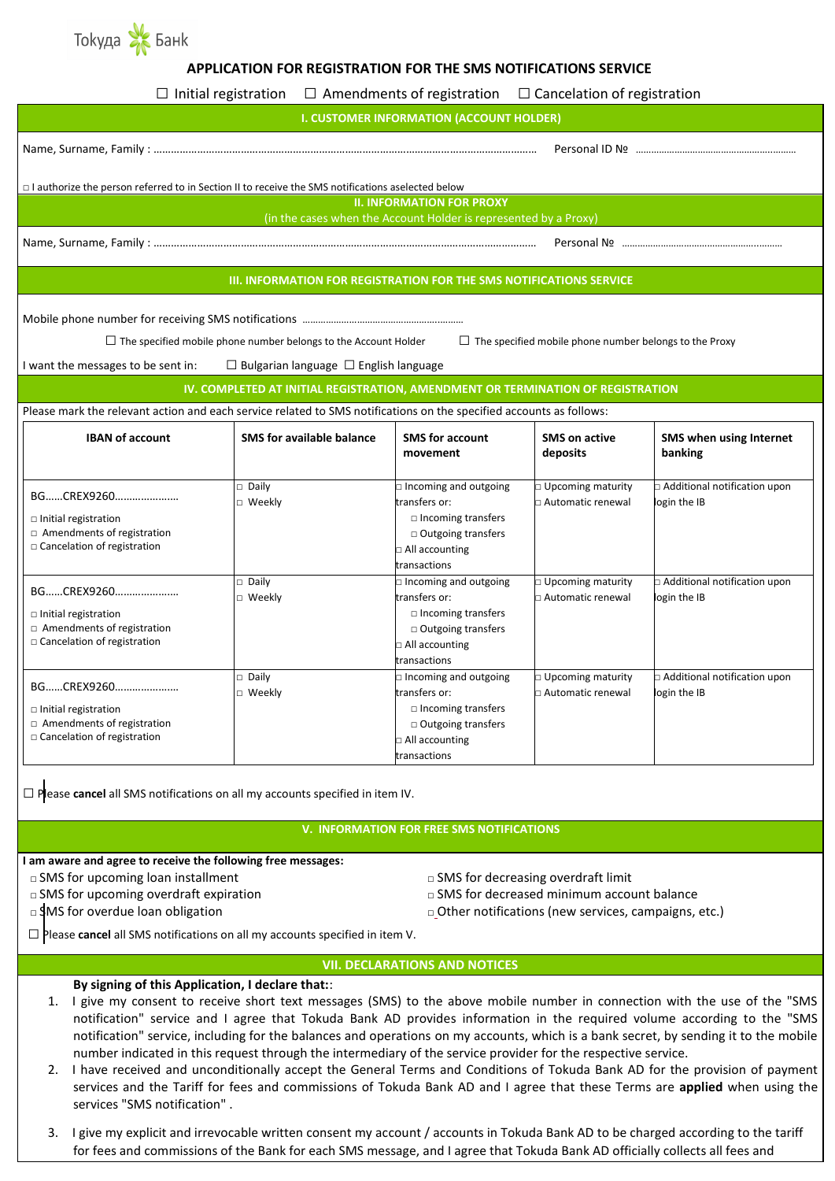

# **APPLICATION FOR REGISTRATION FOR THE SMS NOTIFICATIONS SERVICE**

|                                                                                                                                                                                                                                    | $\Box$ Initial registration $\Box$ Amendments of registration $\Box$ Cancelation of registration |                                                                                                                                                  |                                                 |                                                |  |  |
|------------------------------------------------------------------------------------------------------------------------------------------------------------------------------------------------------------------------------------|--------------------------------------------------------------------------------------------------|--------------------------------------------------------------------------------------------------------------------------------------------------|-------------------------------------------------|------------------------------------------------|--|--|
| <b>I. CUSTOMER INFORMATION (ACCOUNT HOLDER)</b>                                                                                                                                                                                    |                                                                                                  |                                                                                                                                                  |                                                 |                                                |  |  |
|                                                                                                                                                                                                                                    |                                                                                                  |                                                                                                                                                  |                                                 |                                                |  |  |
| $\Box$ I authorize the person referred to in Section II to receive the SMS notifications aselected below                                                                                                                           |                                                                                                  |                                                                                                                                                  |                                                 |                                                |  |  |
| <b>II. INFORMATION FOR PROXY</b>                                                                                                                                                                                                   |                                                                                                  |                                                                                                                                                  |                                                 |                                                |  |  |
| (in the cases when the Account Holder is represented by a Proxy)                                                                                                                                                                   |                                                                                                  |                                                                                                                                                  |                                                 |                                                |  |  |
|                                                                                                                                                                                                                                    |                                                                                                  |                                                                                                                                                  |                                                 |                                                |  |  |
| <b>III. INFORMATION FOR REGISTRATION FOR THE SMS NOTIFICATIONS SERVICE</b>                                                                                                                                                         |                                                                                                  |                                                                                                                                                  |                                                 |                                                |  |  |
| $\Box$ The specified mobile phone number belongs to the Account Holder<br>$\Box$ The specified mobile phone number belongs to the Proxy<br>I want the messages to be sent in:<br>$\Box$ Bulgarian language $\Box$ English language |                                                                                                  |                                                                                                                                                  |                                                 |                                                |  |  |
| IV. COMPLETED AT INITIAL REGISTRATION, AMENDMENT OR TERMINATION OF REGISTRATION                                                                                                                                                    |                                                                                                  |                                                                                                                                                  |                                                 |                                                |  |  |
| Please mark the relevant action and each service related to SMS notifications on the specified accounts as follows:                                                                                                                |                                                                                                  |                                                                                                                                                  |                                                 |                                                |  |  |
| <b>IBAN of account</b>                                                                                                                                                                                                             | <b>SMS</b> for available balance                                                                 | <b>SMS</b> for account<br>movement                                                                                                               | <b>SMS on active</b><br>deposits                | <b>SMS when using Internet</b><br>banking      |  |  |
| BGCREX9260<br>$\Box$ Initial registration<br>$\Box$ Amendments of registration<br>□ Cancelation of registration                                                                                                                    | $\Box$ Daily<br>□ Weekly                                                                         | $\Box$ Incoming and outgoing<br>transfers or:<br>$\Box$ Incoming transfers<br>$\Box$ Outgoing transfers<br>$\Box$ All accounting<br>transactions | <b>D</b> Upcoming maturity<br>Automatic renewal | Additional notification upon<br>login the IB   |  |  |
| BGCREX9260<br>$\Box$ Initial registration<br>$\Box$ Amendments of registration<br>□ Cancelation of registration                                                                                                                    | $\Box$ Daily<br>□ Weekly                                                                         | $\Box$ Incoming and outgoing<br>transfers or:<br>$\Box$ Incoming transfers<br>$\Box$ Outgoing transfers<br>$\Box$ All accounting<br>transactions | $\Box$ Upcoming maturity<br>□ Automatic renewal | □ Additional notification upon<br>login the IB |  |  |
| BGCREX9260<br>$\Box$ Initial registration<br>$\Box$ Amendments of registration<br>$\Box$ Cancelation of registration                                                                                                               | $\Box$ Daily<br>□ Weekly                                                                         | n Incoming and outgoing<br>transfers or:<br>$\Box$ Incoming transfers<br>□ Outgoing transfers<br>$\square$ All accounting<br>transactions        | D Upcoming maturity<br>□ Automatic renewal      | Additional notification upon<br>login the IB   |  |  |

**□**Please **cancel** all SMS notifications on all my accounts specified in item IV.

#### **V. INFORMATION FOR FREE SMS NOTIFICATIONS**

**I am aware and agree to receive the following free messages:** 

**□** SMS for upcoming loan installment **□** SMS for decreasing overdraft limit

□ SMS for upcoming overdraft expiration **□** SMS for decreased minimum account balance

□ SMS for overdue loan obligation **□** △ ○ ○ ○ ○ ○ ○ ○ ○ Other notifications (new services, campaigns, etc.)

**□**Please **cancel** all SMS notifications on all my accounts specified in item V.

## **VII. DECLARATIONS AND NOTICES**

## **By signing of this Application, I declare that:**:

- 1. I give my consent to receive short text messages (SMS) to the above mobile number in connection with the use of the "SMS notification" service and I agree that Tokuda Bank AD provides information in the required volume according to the "SMS notification" service, including for the balances and operations on my accounts, which is a bank secret, by sending it to the mobile number indicated in this request through the intermediary of the service provider for the respective service.
- 2. I have received and unconditionally accept the General Terms and Conditions of Tokuda Bank AD for the provision of payment services and the Tariff for fees and commissions of Tokuda Bank AD and I agree that these Terms are **applied** when using the services "SMS notification" .
- 3. I give my explicit and irrevocable written consent my account / accounts in Tokuda Bank AD to be charged according to the tariff for fees and commissions of the Bank for each SMS message, and I agree that Tokuda Bank AD officially collects all fees and